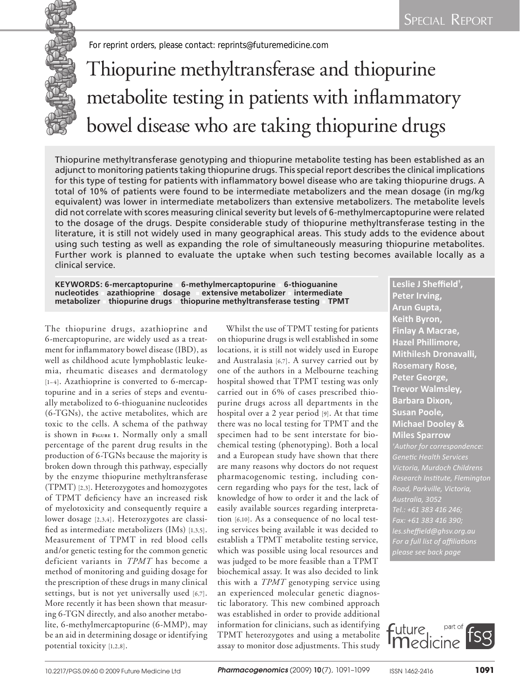*For reprint orders, please contact: reprints@futuremedicine.com*

# Thiopurine methyltransferase and thiopurine metabolite testing in patients with inflammatory bowel disease who are taking thiopurine drugs

Thiopurine methyltransferase genotyping and thiopurine metabolite testing has been established as an adjunct to monitoring patients taking thiopurine drugs. This special report describes the clinical implications for this type of testing for patients with inflammatory bowel disease who are taking thiopurine drugs. A total of 10% of patients were found to be intermediate metabolizers and the mean dosage (in mg/kg equivalent) was lower in intermediate metabolizers than extensive metabolizers. The metabolite levels did not correlate with scores measuring clinical severity but levels of 6-methylmercaptopurine were related to the dosage of the drugs. Despite considerable study of thiopurine methyltransferase testing in the literature, it is still not widely used in many geographical areas. This study adds to the evidence about using such testing as well as expanding the role of simultaneously measuring thiopurine metabolites. Further work is planned to evaluate the uptake when such testing becomes available locally as a clinical service.

**KEYWORDS: 6-mercaptopurine** n **6-methylmercaptopurine** n **6-thioguanine nucleotides** n **azathioprine** n **dosage** n **extensive metabolizer** n **intermediate metabolizer** n **thiopurine drugs** n **thiopurine methyltransferase testing** n **TPMT**

The thiopurine drugs, azathioprine and 6-mercaptopurine, are widely used as a treatment for inflammatory bowel disease (IBD), as well as childhood acute lymphoblastic leukemia, rheumatic diseases and dermatology [1–4]. Azathioprine is converted to 6-mercaptopurine and in a series of steps and eventually metabolized to 6-thioguanine nucleotides (6-TGNs), the active metabolites, which are toxic to the cells. A schema of the pathway is shown in **Figure <sup>1</sup>**. Normally only a small percentage of the parent drug results in the production of 6-TGNs because the majority is broken down through this pathway, especially by the enzyme thiopurine methyltransferase (TPMT) [2,3]. Heterozygotes and homozygotes of TPMT deficiency have an increased risk of myelotoxicity and consequently require a lower dosage [2,3,4]. Heterozygotes are classified as intermediate metabolizers (IMs) [1,3,5]. Measurement of TPMT in red blood cells and/or genetic testing for the common genetic deficient variants in *TPMT* has become a method of monitoring and guiding dosage for the prescription of these drugs in many clinical settings, but is not yet universally used [6,7]. More recently it has been shown that measuring 6-TGN directly, and also another metabolite, 6-methylmercaptopurine (6-MMP), may be an aid in determining dosage or identifying potential toxicity [1,2,8].

Whilst the use of TPMT testing for patients on thiopurine drugs is well established in some locations, it is still not widely used in Europe and Australasia [6,7]. A survey carried out by one of the authors in a Melbourne teaching hospital showed that TPMT testing was only carried out in 6% of cases prescribed thiopurine drugs across all departments in the hospital over a 2 year period [9]. At that time there was no local testing for TPMT and the specimen had to be sent interstate for biochemical testing (phenotyping). Both a local and a European study have shown that there are many reasons why doctors do not request pharmacogenomic testing, including concern regarding who pays for the test, lack of knowledge of how to order it and the lack of easily available sources regarding interpretation [6,10]. As a consequence of no local testing services being available it was decided to establish a TPMT metabolite testing service, which was possible using local resources and was judged to be more feasible than a TPMT biochemical assay. It was also decided to link this with a *TPMT* genotyping service using an experienced molecular genetic diagnostic laboratory. This new combined approach was established in order to provide additional information for clinicians, such as identifying TPMT heterozygotes and using a metabolite assay to monitor dose adjustments. This study **Leslie J Sheffield† , Peter Irving, Arun Gupta, Keith Byron, Finlay A Macrae, Hazel Phillimore, Mithilesh Dronavalli, Rosemary Rose, Peter George, Trevor Walmsley, Barbara Dixon, Susan Poole, Michael Dooley & Miles Sparrow** *Victoria, Murdoch Childrens Research Institute, Flemington Australia, 3052 Tel.: +61 383 416 246; Fax: +61 383 416 390; les.sheffield@ghsv.org.au For a full list of affiliations please see back page*

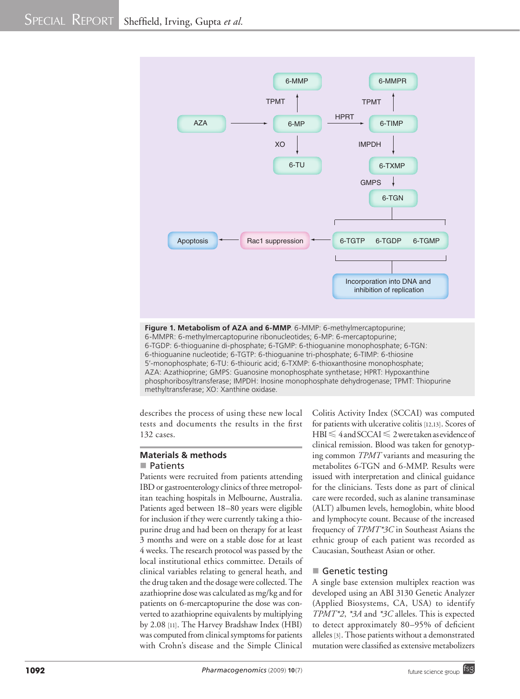

methyltransferase; XO: Xanthine oxidase.

describes the process of using these new local tests and documents the results in the first 132 cases.

## **Materials & methods** ■ Patients

Patients were recruited from patients attending IBD or gastroenterology clinics of three metropolitan teaching hospitals in Melbourne, Australia. Patients aged between 18–80 years were eligible for inclusion if they were currently taking a thiopurine drug and had been on therapy for at least 3 months and were on a stable dose for at least 4 weeks. The research protocol was passed by the local institutional ethics committee. Details of clinical variables relating to general heath, and the drug taken and the dosage were collected. The azathioprine dose was calculated as mg/kg and for patients on 6-mercaptopurine the dose was converted to azathioprine equivalents by multiplying by 2.08 [11]. The Harvey Bradshaw Index (HBI) was computed from clinical symptoms for patients with Crohn's disease and the Simple Clinical Colitis Activity Index (SCCAI) was computed for patients with ulcerative colitis [12,13]. Scores of  $HBI \leq 4$  and SCCAI  $\leq 2$  were taken as evidence of clinical remission. Blood was taken for genotyping common *TPMT* variants and measuring the metabolites 6-TGN and 6-MMP. Results were issued with interpretation and clinical guidance for the clinicians. Tests done as part of clinical care were recorded, such as alanine transaminase (ALT) albumen levels, hemoglobin, white blood and lymphocyte count. Because of the increased frequency of *TPMT\*3C* in Southeast Asians the ethnic group of each patient was recorded as Caucasian, Southeast Asian or other.

# Genetic testing

A single base extension multiplex reaction was developed using an ABI 3130 Genetic Analyzer (Applied Biosystems, CA, USA) to identify *TPMT\*2*, *\*3A* and *\*3C* alleles. This is expected to detect approximately 80–95% of deficient alleles [3]. Those patients without a demonstrated mutation were classified as extensive metabolizers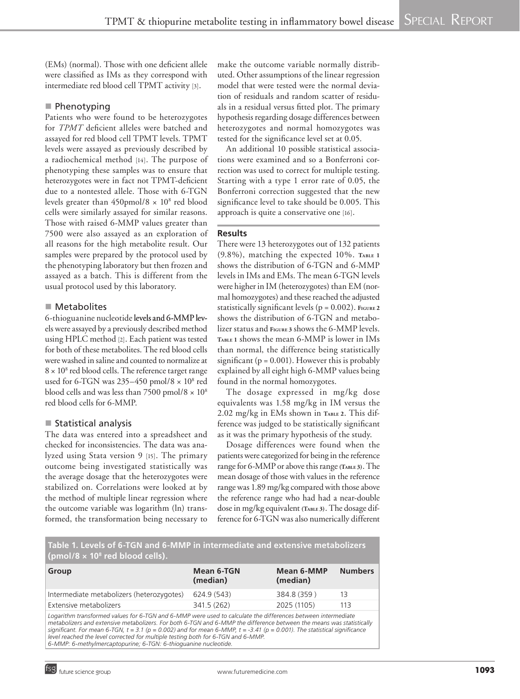(EMs) (normal). Those with one deficient allele were classified as IMs as they correspond with intermediate red blood cell TPMT activity [3].

## ■ Phenotyping

Patients who were found to be heterozygotes for *TPMT* deficient alleles were batched and assayed for red blood cell TPMT levels. TPMT levels were assayed as previously described by a radiochemical method [14]. The purpose of phenotyping these samples was to ensure that heterozygotes were in fact not TPMT-deficient due to a nontested allele. Those with 6-TGN levels greater than  $450$ pmol/8  $\times$  10<sup>8</sup> red blood cells were similarly assayed for similar reasons. Those with raised 6-MMP values greater than 7500 were also assayed as an exploration of all reasons for the high metabolite result. Our samples were prepared by the protocol used by the phenotyping laboratory but then frozen and assayed as a batch. This is different from the usual protocol used by this laboratory.

# ■ Metabolites

6-thioguanine nucleotide levels and 6-MMP levels were assayed by a previously described method using HPLC method [2]. Each patient was tested for both of these metabolites. The red blood cells were washed in saline and counted to normalize at  $8 \times 10^8$  red blood cells. The reference target range used for 6-TGN was  $235-450$  pmol/8  $\times$  10<sup>8</sup> red blood cells and was less than 7500 pmol/8  $\times$  10<sup>8</sup> red blood cells for 6-MMP.

# ■ Statistical analysis

The data was entered into a spreadsheet and checked for inconsistencies. The data was analyzed using Stata version 9 [15]. The primary outcome being investigated statistically was the average dosage that the heterozygotes were stabilized on. Correlations were looked at by the method of multiple linear regression where the outcome variable was logarithm (ln) transformed, the transformation being necessary to

make the outcome variable normally distributed. Other assumptions of the linear regression model that were tested were the normal deviation of residuals and random scatter of residuals in a residual versus fitted plot. The primary hypothesis regarding dosage differences between heterozygotes and normal homozygotes was tested for the significance level set at 0.05.

An additional 10 possible statistical associations were examined and so a Bonferroni correction was used to correct for multiple testing. Starting with a type 1 error rate of 0.05, the Bonferroni correction suggested that the new significance level to take should be 0.005. This approach is quite a conservative one [16].

# **Results**

There were 13 heterozygotes out of 132 patients (9.8%), matching the expected 10%. TABLE 1 shows the distribution of 6-TGN and 6-MMP levels in IMs and EMs. The mean 6-TGN levels were higher in IM (heterozygotes) than EM (normal homozygotes) and these reached the adjusted statistically significant levels (p = 0.002). **Figure <sup>2</sup>** shows the distribution of 6-TGN and metabolizer status and **Figure <sup>3</sup>** shows the 6-MMP levels. **Table <sup>1</sup>** shows the mean 6-MMP is lower in IMs than normal, the difference being statistically significant ( $p = 0.001$ ). However this is probably explained by all eight high 6-MMP values being found in the normal homozygotes.

The dosage expressed in mg/kg dose equivalents was 1.58 mg/kg in IM versus the 2.02 mg/kg in EMs shown in **Table <sup>2</sup>**. This difference was judged to be statistically significant as it was the primary hypothesis of the study.

Dosage differences were found when the patients were categorized for being in the reference range for 6-MMP or above this range **(Table 3)**. The mean dosage of those with values in the reference range was 1.89 mg/kg compared with those above the reference range who had had a near-double dose in mg/kg equivalent **(Table 3)**. The dosage difference for 6-TGN was also numerically different

**Table 1. Levels of 6-TGN and 6-MMP in intermediate and extensive metabolizers (pmol/8 × 108 red blood cells).**

| --                                        |                        |                        |                |
|-------------------------------------------|------------------------|------------------------|----------------|
| <b>Group</b>                              | Mean 6-TGN<br>(median) | Mean 6-MMP<br>(median) | <b>Numbers</b> |
| Intermediate metabolizers (heterozygotes) | 624.9 (543)            | 384.8 (359)            | 13             |
| Extensive metabolizers                    | 341.5 (262)            | 2025 (1105)            | 113            |

*Logarithm transformed values for 6-TGN and 6-MMP were used to calculate the differences between intermediate metabolizers and extensive metabolizers. For both 6-TGN and 6-MMP the difference between the means was statistically significant. For mean 6-TGN, t = 3.1 (p = 0.002) and for mean 6-MMP, t = -3.41 (p = 0.001). The statistical significance level reached the level corrected for multiple testing both for 6-TGN and 6-MMP. 6-MMP: 6-methylmercaptopurine; 6-TGN: 6-thioguanine nucleotide.*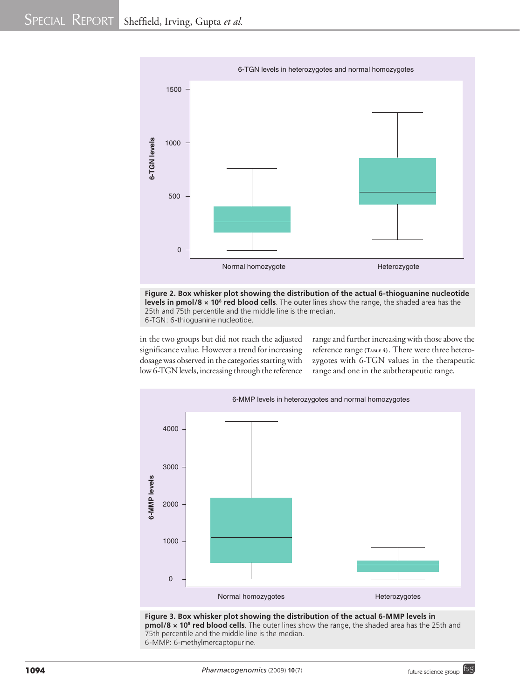

**Figure 2. Box whisker plot showing the distribution of the actual 6-thioguanine nucleotide levels in pmol/8**  $\times$  **10<sup>8</sup> red blood cells**. The outer lines show the range, the shaded area has the 25th and 75th percentile and the middle line is the median. 6-TGN: 6-thioguanine nucleotide.

in the two groups but did not reach the adjusted significance value. However a trend for increasing dosage was observed in the categories starting with low 6-TGN levels, increasing through the reference range and further increasing with those above the reference range **(Table 4)**. There were three heterozygotes with 6-TGN values in the therapeutic range and one in the subtherapeutic range.



**Figure 3. Box whisker plot showing the distribution of the actual 6-MMP levels in pmol/8** x 10<sup>8</sup> red blood cells. The outer lines show the range, the shaded area has the 25th and 75th percentile and the middle line is the median. 6-MMP: 6-methylmercaptopurine.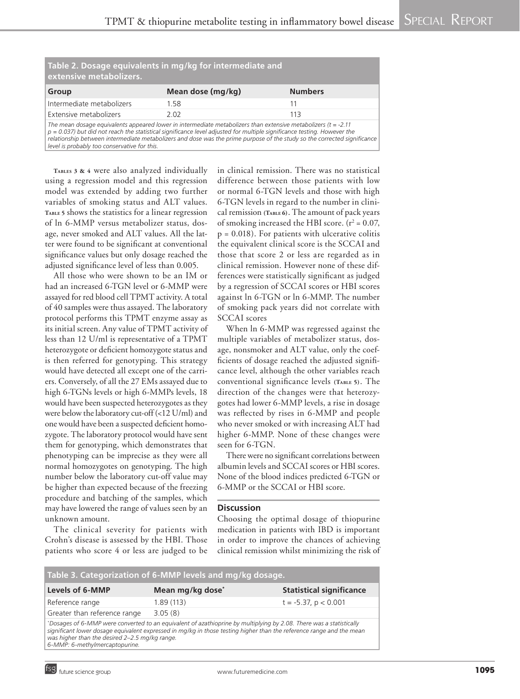| Table 2. Dosage equivalents in mg/kg for intermediate and<br>extensive metabolizers.                                                                                                                                                                                                                                                                                                                                     |                   |                |  |  |  |
|--------------------------------------------------------------------------------------------------------------------------------------------------------------------------------------------------------------------------------------------------------------------------------------------------------------------------------------------------------------------------------------------------------------------------|-------------------|----------------|--|--|--|
| Group                                                                                                                                                                                                                                                                                                                                                                                                                    | Mean dose (mg/kg) | <b>Numbers</b> |  |  |  |
| Intermediate metabolizers                                                                                                                                                                                                                                                                                                                                                                                                | 158               |                |  |  |  |
| Extensive metabolizers                                                                                                                                                                                                                                                                                                                                                                                                   | 2.02              | 113            |  |  |  |
| The mean dosage equivalents appeared lower in intermediate metabolizers than extensive metabolizers (t = -2.11<br>$p = 0.037$ ) but did not reach the statistical significance level adjusted for multiple significance testing. However the<br>relationship between intermediate metabolizers and dose was the prime purpose of the study so the corrected significance<br>level is probably too conservative for this. |                   |                |  |  |  |

**Tables <sup>3</sup> & <sup>4</sup>** were also analyzed individually using a regression model and this regression model was extended by adding two further variables of smoking status and ALT values. **Table <sup>5</sup>** shows the statistics for a linear regression of ln 6-MMP versus metabolizer status, dosage, never smoked and ALT values. All the latter were found to be significant at conventional significance values but only dosage reached the adjusted significance level of less than 0.005.

All those who were shown to be an IM or had an increased 6-TGN level or 6-MMP were assayed for red blood cell TPMT activity. A total of 40 samples were thus assayed. The laboratory protocol performs this TPMT enzyme assay as its initial screen. Any value of TPMT activity of less than 12 U/ml is representative of a TPMT heterozygote or deficient homozygote status and is then referred for genotyping. This strategy would have detected all except one of the carriers. Conversely, of all the 27 EMs assayed due to high 6-TGNs levels or high 6-MMPs levels, 18 would have been suspected heterozygotes as they were below the laboratory cut-off (<12 U/ml) and one would have been a suspected deficient homozygote. The laboratory protocol would have sent them for genotyping, which demonstrates that phenotyping can be imprecise as they were all normal homozygotes on genotyping. The high number below the laboratory cut-off value may be higher than expected because of the freezing procedure and batching of the samples, which may have lowered the range of values seen by an unknown amount.

The clinical severity for patients with Crohn's disease is assessed by the HBI. Those patients who score 4 or less are judged to be in clinical remission. There was no statistical difference between those patients with low or normal 6-TGN levels and those with high 6-TGN levels in regard to the number in clinical remission **(Table 6)**. The amount of pack years of smoking increased the HBI score.  $(r^2 = 0.07,$  $p = 0.018$ ). For patients with ulcerative colitis the equivalent clinical score is the SCCAI and those that score 2 or less are regarded as in clinical remission. However none of these differences were statistically significant as judged by a regression of SCCAI scores or HBI scores against ln 6-TGN or ln 6-MMP. The number of smoking pack years did not correlate with SCCAI scores

When ln 6-MMP was regressed against the multiple variables of metabolizer status, dosage, nonsmoker and ALT value, only the coefficients of dosage reached the adjusted significance level, although the other variables reach conventional significance levels **(Table 5)**. The direction of the changes were that heterozygotes had lower 6-MMP levels, a rise in dosage was reflected by rises in 6-MMP and people who never smoked or with increasing ALT had higher 6-MMP. None of these changes were seen for 6-TGN.

There were no significant correlations between albumin levels and SCCAI scores or HBI scores. None of the blood indices predicted 6-TGN or 6-MMP or the SCCAI or HBI score.

## **Discussion**

Choosing the optimal dosage of thiopurine medication in patients with IBD is important in order to improve the chances of achieving clinical remission whilst minimizing the risk of

| Table 3. Categorization of 6-MMP levels and mg/kg dosage.                                                                                                                                                                                                                                                                       |                  |                                 |  |  |  |
|---------------------------------------------------------------------------------------------------------------------------------------------------------------------------------------------------------------------------------------------------------------------------------------------------------------------------------|------------------|---------------------------------|--|--|--|
| Levels of 6-MMP                                                                                                                                                                                                                                                                                                                 | Mean mg/kg dose* | <b>Statistical significance</b> |  |  |  |
| Reference range                                                                                                                                                                                                                                                                                                                 | 1.89(113)        | $t = -5.37$ , $p < 0.001$       |  |  |  |
| Greater than reference range                                                                                                                                                                                                                                                                                                    | 3.05(8)          |                                 |  |  |  |
| *Dosages of 6-MMP were converted to an equivalent of azathioprine by multiplying by 2.08. There was a statistically<br>significant lower dosage equivalent expressed in mg/kg in those testing higher than the reference range and the mean<br>was higher than the desired 2-2.5 mg/kg range.<br>6-MMP: 6-methylmercaptopurine. |                  |                                 |  |  |  |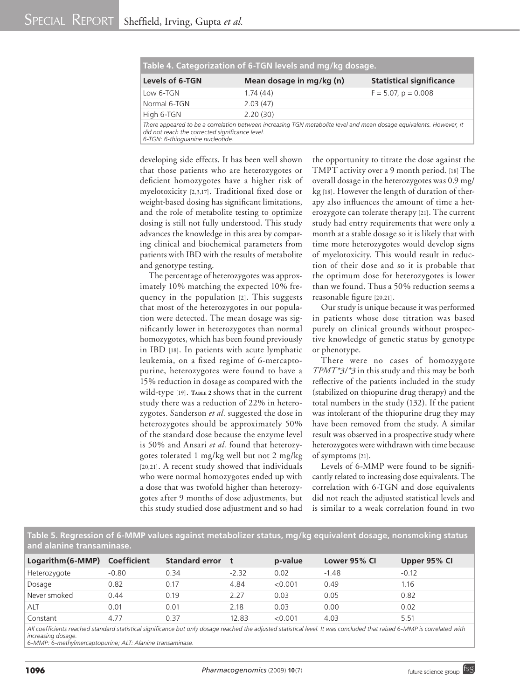| Table 4. Categorization of 6-TGN levels and mg/kg dosage. |                                                                                                                     |                                 |  |  |
|-----------------------------------------------------------|---------------------------------------------------------------------------------------------------------------------|---------------------------------|--|--|
| Levels of 6-TGN                                           | Mean dosage in mg/kg (n)                                                                                            | <b>Statistical significance</b> |  |  |
| Low 6-TGN                                                 | 1.74(44)                                                                                                            | $F = 5.07$ , $p = 0.008$        |  |  |
| Normal 6-TGN                                              | 2.03(47)                                                                                                            |                                 |  |  |
| High 6-TGN                                                | 2.20(30)                                                                                                            |                                 |  |  |
| did not reach the corrected significance level.           | There appeared to be a correlation between increasing TGN metabolite level and mean dosage equivalents. However, it |                                 |  |  |

*6-TGN: 6-thioguanine nucleotide.*

developing side effects. It has been well shown that those patients who are heterozygotes or deficient homozygotes have a higher risk of myelotoxicity [2,3,17]. Traditional fixed dose or weight-based dosing has significant limitations, and the role of metabolite testing to optimize dosing is still not fully understood. This study advances the knowledge in this area by comparing clinical and biochemical parameters from patients with IBD with the results of metabolite and genotype testing.

The percentage of heterozygotes was approximately 10% matching the expected 10% frequency in the population [2]. This suggests that most of the heterozygotes in our population were detected. The mean dosage was significantly lower in heterozygotes than normal homozygotes, which has been found previously in IBD [18]. In patients with acute lymphatic leukemia, on a fixed regime of 6-mercaptopurine, heterozygotes were found to have a 15% reduction in dosage as compared with the wild-type [19]. TABLE 2 shows that in the current study there was a reduction of 22% in heterozygotes. Sanderson *et al.* suggested the dose in heterozygotes should be approximately 50% of the standard dose because the enzyme level is 50% and Ansari *et al.* found that heterozygotes tolerated 1 mg/kg well but not 2 mg/kg [20,21]. A recent study showed that individuals who were normal homozygotes ended up with a dose that was twofold higher than heterozygotes after 9 months of dose adjustments, but this study studied dose adjustment and so had the opportunity to titrate the dose against the TMPT activity over a 9 month period. [18] The overall dosage in the heterozygotes was 0.9 mg/ kg [18]. However the length of duration of therapy also influences the amount of time a heterozygote can tolerate therapy [21]. The current study had entry requirements that were only a month at a stable dosage so it is likely that with time more heterozygotes would develop signs of myelotoxicity. This would result in reduction of their dose and so it is probable that the optimum dose for heterozygotes is lower than we found. Thus a 50% reduction seems a reasonable figure [20,21].

Our study is unique because it was performed in patients whose dose titration was based purely on clinical grounds without prospective knowledge of genetic status by genotype or phenotype.

There were no cases of homozygote *TPMT\*3/\*3* in this study and this may be both reflective of the patients included in the study (stabilized on thiopurine drug therapy) and the total numbers in the study (132). If the patient was intolerant of the thiopurine drug they may have been removed from the study. A similar result was observed in a prospective study where heterozygotes were withdrawn with time because of symptoms [21].

Levels of 6-MMP were found to be significantly related to increasing dose equivalents. The correlation with 6-TGN and dose equivalents did not reach the adjusted statistical levels and is similar to a weak correlation found in two

**Table 5. Regression of 6-MMP values against metabolizer status, mg/kg equivalent dosage, nonsmoking status and alanine transaminase.**

| Logarithm (6-MMP) | <b>Coefficient</b> | <b>Standard error</b> | -t      | p-value | Lower 95% CI | Upper 95% CI |
|-------------------|--------------------|-----------------------|---------|---------|--------------|--------------|
| Heterozygote      | $-0.80$            | 0.34                  | $-2.32$ | 0.02    | $-1.48$      | $-0.12$      |
| Dosage            | 0.82               | 0.17                  | 4.84    | < 0.001 | 0.49         | 1.16         |
| Never smoked      | 0.44               | 0.19                  | 2.27    | 0.03    | 0.05         | 0.82         |
| ALT               | 0.01               | 0.01                  | 2.18    | 0.03    | 0.00         | 0.02         |
| Constant          | 4.77               | 0.37                  | 12.83   | < 0.001 | 4.03         | 5.51         |
|                   |                    |                       |         |         |              |              |

*All coefficients reached standard statistical significance but only dosage reached the adjusted statistical level. It was concluded that raised 6-MMP is correlated with increasing dosage. 6-MMP: 6-methylmercaptopurine; ALT: Alanine transaminase.*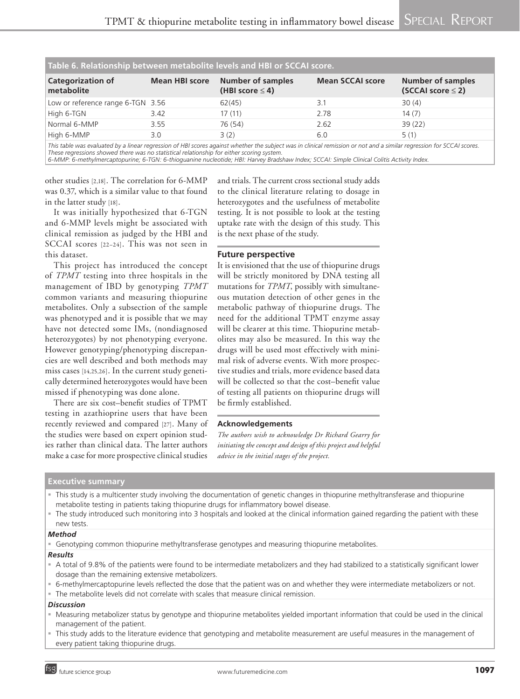| Table 6. Relationship between metabolite levels and HBI or SCCAI score.                                                                                               |                       |                                                  |                         |                                                    |  |
|-----------------------------------------------------------------------------------------------------------------------------------------------------------------------|-----------------------|--------------------------------------------------|-------------------------|----------------------------------------------------|--|
| <b>Categorization of</b><br>metabolite                                                                                                                                | <b>Mean HBI score</b> | <b>Number of samples</b><br>(HBI score $\leq$ 4) | <b>Mean SCCAI score</b> | <b>Number of samples</b><br>(SCCAI score $\leq$ 2) |  |
| Low or reference range 6-TGN 3.56                                                                                                                                     |                       | 62(45)                                           | 3.1                     | 30(4)                                              |  |
| High 6-TGN                                                                                                                                                            | 3.42                  | 17(11)                                           | 2.78                    | 14(7)                                              |  |
| Normal 6-MMP                                                                                                                                                          | 3.55                  | 76 (54)                                          | 2.62                    | 39(22)                                             |  |
| High 6-MMP                                                                                                                                                            | 3.0                   | 3(2)                                             | 6.0                     | 5(1)                                               |  |
| This table was evaluated by a linear regression of HBI scores against whether the subject was in clinical remission or not and a similar regression for SCCAI scores. |                       |                                                  |                         |                                                    |  |

*These regressions showed there was no statistical relationship for either scoring system.*

*6-MMP: 6-methylmercaptopurine; 6-TGN: 6-thioguanine nucleotide; HBI: Harvey Bradshaw Index; SCCAI: Simple Clinical Colitis Activity Index.*

other studies [2,18]. The correlation for 6-MMP was 0.37, which is a similar value to that found in the latter study [18].

It was initially hypothesized that 6-TGN and 6-MMP levels might be associated with clinical remission as judged by the HBI and SCCAI scores [22–24]. This was not seen in this dataset.

This project has introduced the concept of *TPMT* testing into three hospitals in the management of IBD by genotyping *TPMT* common variants and measuring thiopurine metabolites. Only a subsection of the sample was phenotyped and it is possible that we may have not detected some IMs, (nondiagnosed heterozygotes) by not phenotyping everyone. However genotyping/phenotyping discrepancies are well described and both methods may miss cases [14,25,26]. In the current study genetically determined heterozygotes would have been missed if phenotyping was done alone.

There are six cost–benefit studies of TPMT testing in azathioprine users that have been recently reviewed and compared [27]. Many of the studies were based on expert opinion studies rather than clinical data. The latter authors make a case for more prospective clinical studies

and trials. The current cross sectional study adds to the clinical literature relating to dosage in heterozygotes and the usefulness of metabolite testing. It is not possible to look at the testing uptake rate with the design of this study. This is the next phase of the study.

## **Future perspective**

It is envisioned that the use of thiopurine drugs will be strictly monitored by DNA testing all mutations for *TPMT*, possibly with simultaneous mutation detection of other genes in the metabolic pathway of thiopurine drugs. The need for the additional TPMT enzyme assay will be clearer at this time. Thiopurine metabolites may also be measured. In this way the drugs will be used most effectively with minimal risk of adverse events. With more prospective studies and trials, more evidence based data will be collected so that the cost–benefit value of testing all patients on thiopurine drugs will be firmly established.

#### **Acknowledgements**

*The authors wish to acknowledge Dr Richard Gearry for initiating the concept and design of this project and helpful advice in the initial stages of the project.* 

# **Executive summary**

- This study is a multicenter study involving the documentation of genetic changes in thiopurine methyltransferase and thiopurine metabolite testing in patients taking thiopurine drugs for inflammatory bowel disease.
- The study introduced such monitoring into 3 hospitals and looked at the clinical information gained regarding the patient with these new tests.

#### *Method*

Genotyping common thiopurine methyltransferase genotypes and measuring thiopurine metabolites.

#### *Results*

- A total of 9.8% of the patients were found to be intermediate metabolizers and they had stabilized to a statistically significant lower dosage than the remaining extensive metabolizers.
- 6-methylmercaptopurine levels reflected the dose that the patient was on and whether they were intermediate metabolizers or not.
- The metabolite levels did not correlate with scales that measure clinical remission.

## *Discussion*

- Measuring metabolizer status by genotype and thiopurine metabolites yielded important information that could be used in the clinical management of the patient.
- This study adds to the literature evidence that genotyping and metabolite measurement are useful measures in the management of every patient taking thiopurine drugs.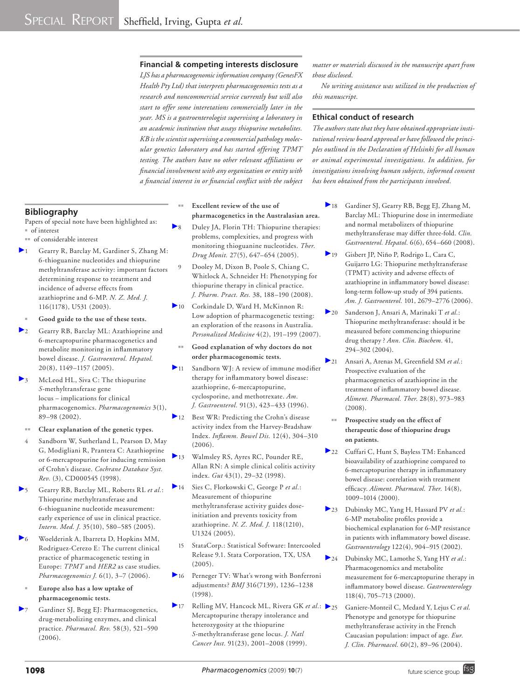## **Financial & competing interests disclosure**

*LJS has a pharmacogenomic information company (GenesFX Health Pty Ltd) that interprets pharmacogenomics tests as a research and noncommercial service currently but will also start to offer some interetations commercially later in the year. MS is a gastroenterologist supervising a laboratory in an academic institution that assays thiopurine metabolites. KB is the scientist supervising a commercial pathology molecular genetics laboratory and has started offering TPMT testing. The authors have no other relevant affiliations or financial involvement with any organization or entity with a financial interest in or financial conflict with the subject* 

## **Bibliography**

Papers of special note have been highlighted as:  $\blacksquare$  of interest

- $\blacksquare$  of considerable interest
- 1 Gearry R, Barclay M, Gardiner S, Zhang M: 6-thioguanine nucleotides and thiopurine methyltransferase activity: important factors determining response to treatment and incidence of adverse effects from azathioprine and 6-MP. *N. Z. Med. J.* 116(1178), U531 (2003).
- Good guide to the use of these tests.
- 2 Gearry RB, Barclay ML: Azathioprine and 6-mercaptopurine pharmacogenetics and metabolite monitoring in inflammatory bowel disease. *J. Gastroenterol. Hepatol.* 20(8), 1149–1157 (2005).
- McLeod HL, Siva C: The thiopurine *S*-methyltransferase gene locus – implications for clinical pharmacogenomics. *Pharmacogenomics* 3(1), 89–98 (2002).
- Clear explanation of the genetic types.
- 4 Sandborn W, Sutherland L, Pearson D, May G, Modigliani R, Prantera C: Azathioprine or 6-mercaptopurine for inducing remission of Crohn's disease. *Cochrane Database Syst. Rev.* (3), CD000545 (1998).
- 5 Gearry RB, Barclay ML, Roberts RL *et al.*: Thiopurine methyltransferase and 6-thioguanine nucleotide measurement: early experience of use in clinical practice. *Intern. Med. J.* 35(10), 580–585 (2005).
- 6 Woelderink A, Ibarreta D, Hopkins MM, Rodriguez-Cerezo E: The current clinical practice of pharmacogenetic testing in Europe: *TPMT* and *HER2* as case studies. *Pharmacogenomics J.* 6(1), 3–7 (2006).
- <sup>n</sup> **Europe also has a low uptake of pharmacogenomic tests.**
- Gardiner SJ, Begg EJ: Pharmacogenetics, drug-metabolizing enzymes, and clinical practice. *Pharmacol. Rev.* 58(3), 521–590 (2006).
- **Excellent review of the use of**
- **pharmacogenetics in the Australasian area.** 8 Duley JA, Florin TH: Thiopurine therapies: problems, complexities, and progress with monitoring thioguanine nucleotides. *Ther. Drug Monit.* 27(5), 647–654 (2005).
	- 9 Dooley M, Dixon B, Poole S, Chiang C, Whitlock A, Schneider H: Phenotyping for thiopurine therapy in clinical practice. *J. Pharm. Pract. Res.* 38, 188–190 (2008).
- 10 Corkindale D, Ward H, McKinnon R: Low adoption of pharmacogenetic testing: an exploration of the reasons in Australia. *Personalized Medicine* 4(2), 191–199 (2007).
	- Good explanation of why doctors do not **order pharmacogenomic tests.**
- 11 Sandborn WJ: A review of immune modifier therapy for inflammatory bowel disease: azathioprine, 6-mercaptopurine, cyclosporine, and methotrexate. *Am. J. Gastroenterol.* 91(3), 423–433 (1996).
- 12 Best WR: Predicting the Crohn's disease activity index from the Harvey-Bradshaw Index. *Inflamm. Bowel Dis.* 12(4), 304–310 (2006).
- 13 Walmsley RS, Ayres RC, Pounder RE, Allan RN: A simple clinical colitis activity index. *Gut* 43(1), 29–32 (1998).
- 14 Sies C, Florkowski C, George P *et al.*: Measurement of thiopurine methyltransferase activity guides doseinitiation and prevents toxicity from azathioprine. *N. Z. Med. J.* 118(1210), U1324 (2005).
	- 15 StataCorp.: Statistical Software: Intercooled Release 9.1. Stata Corporation, TX, USA  $(2005).$
- 16 Perneger TV: What's wrong with Bonferroni adjustments? *BMJ* 316(7139), 1236–1238 (1998).
- ▶ 17 Relling MV, Hancock ML, Rivera GK *et al.*: ▶ 25 Mercaptopurine therapy intolerance and heterozygosity at the thiopurine *S*-methyltransferase gene locus. *J. Natl Cancer Inst.* 91(23), 2001–2008 (1999).

*matter or materials discussed in the manuscript apart from those disclosed.*

*No writing assistance was utilized in the production of this manuscript.*

#### **Ethical conduct of research**

*The authors state that they have obtained appropriate institutional review board approval or have followed the principles outlined in the Declaration of Helsinki for all human or animal experimental investigations. In addition, for investigations involving human subjects, informed consent has been obtained from the participants involved.*

- 18 Gardiner SJ, Gearry RB, Begg EJ, Zhang M, Barclay ML: Thiopurine dose in intermediate and normal metabolizers of thiopurine methyltransferase may differ three-fold. *Clin. Gastroenterol. Hepatol.* 6(6), 654–660 (2008).
- 19 Gisbert JP, Niño P, Rodrigo L, Cara C, Guijarro LG: Thiopurine methyltransferase (TPMT) activity and adverse effects of azathioprine in inflammatory bowel disease: long-term follow-up study of 394 patients. *Am. J. Gastroenterol.* 101, 2679–2776 (2006).
- 20 Sanderson J, Ansari A, Marinaki T *et al.*: Thiopurine methyltransferase: should it be measured before commencing thiopurine drug therapy ? *Ann. Clin. Biochem.* 41, 294–302 (2004).
- 21 Ansari A, Arenas M, Greenfield SM *et al.*: Prospective evaluation of the pharmacogenetics of azathioprine in the treatment of inflammatory bowel disease. *Aliment. Pharmacol. Ther.* 28(8), 973–983 (2008).
	- Prospective study on the effect of **therapeutic dose of thiopurine drugs on patients.**
- 22 Cuffari C, Hunt S, Bayless TM: Enhanced bioavailability of azathioprine compared to 6-mercaptopurine therapy in inflammatory bowel disease: correlation with treatment efficacy. *Aliment. Pharmacol. Ther.* 14(8), 1009–1014 (2000).
- 23 Dubinsky MC, Yang H, Hassard PV *et al.*: 6-MP metabolite profiles provide a biochemical explanation for 6-MP resistance in patients with inflammatory bowel disease. *Gastroenterology* 122(4), 904–915 (2002).
- 24 Dubinsky MC, Lamothe S, Yang HY *et al*.: Pharmacogenomics and metabolite measurement for 6-mercaptopurine therapy in inflammatory bowel disease. *Gastroenterology* 118(4), 705–713 (2000).
	- 25 Ganiere-Monteil C, Medard Y, Lejus C *et al*. Phenotype and genotype for thiopurine methyltransferase activity in the French Caucasian population: impact of age*. Eur. J. Clin. Pharmacol.* 60(2), 89–96 (2004).